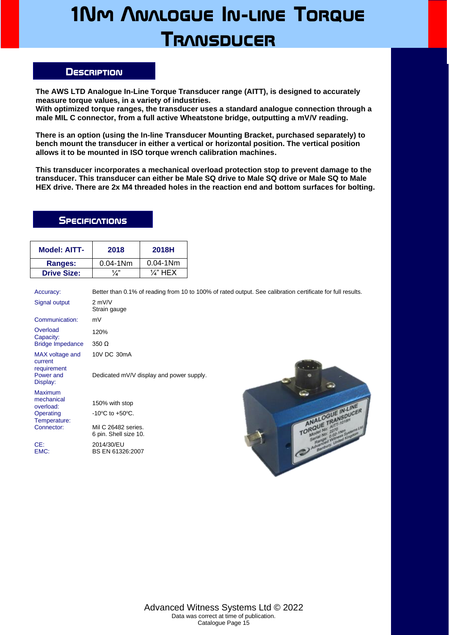## **1Nm Analogue In-line Torque TRANSDUCER**

## **Description**

**The AWS LTD Analogue In-Line Torque Transducer range (AITT), is designed to accurately measure torque values, in a variety of industries.**

**With optimized torque ranges, the transducer uses a standard analogue connection through a male MIL C connector, from a full active Wheatstone bridge, outputting a mV/V reading.**

**There is an option (using the In-line Transducer Mounting Bracket, purchased separately) to bench mount the transducer in either a vertical or horizontal position. The vertical position allows it to be mounted in ISO torque wrench calibration machines.**

**This transducer incorporates a mechanical overload protection stop to prevent damage to the transducer. This transducer can either be Male SQ drive to Male SQ drive or Male SQ to Male HEX drive. There are 2x M4 threaded holes in the reaction end and bottom surfaces for bolting.**

## **SPECIFICATIONS**

| <b>Model: AITT-</b> | 2018         | <b>2018H</b>        |
|---------------------|--------------|---------------------|
| Ranges:             | $0.04 - 1Nm$ | $0.04 - 1Nm$        |
| <b>Drive Size:</b>  | ¼"           | $\frac{1}{4}$ " HEX |

| Accuracy:                                 | Better than 0.1% of reading from 10 to 100% of rated output. See calibration certificate for full results. |                  |
|-------------------------------------------|------------------------------------------------------------------------------------------------------------|------------------|
| Signal output                             | $2$ mV/V<br>Strain gauge                                                                                   |                  |
| Communication:                            | mV                                                                                                         |                  |
| Overload<br>Capacity:                     | 120%                                                                                                       |                  |
| <b>Bridge Impedance</b>                   | $350 \Omega$                                                                                               |                  |
| MAX voltage and<br>current<br>requirement | 10V DC 30mA                                                                                                |                  |
| Power and<br>Display:                     | Dedicated mV/V display and power supply.                                                                   |                  |
| <b>Maximum</b>                            |                                                                                                            |                  |
| mechanical<br>overload:                   | 150% with stop                                                                                             |                  |
| Operating<br>Temperature:                 | $-10^{\circ}$ C to $+50^{\circ}$ C.                                                                        | ANALOGUE IN-LINE |
| Connector:                                | Mil C 26482 series.<br>6 pin. Shell size 10.                                                               |                  |
| CE:<br>EMC:                               | 2014/30/EU<br>BS EN 61326:2007                                                                             |                  |